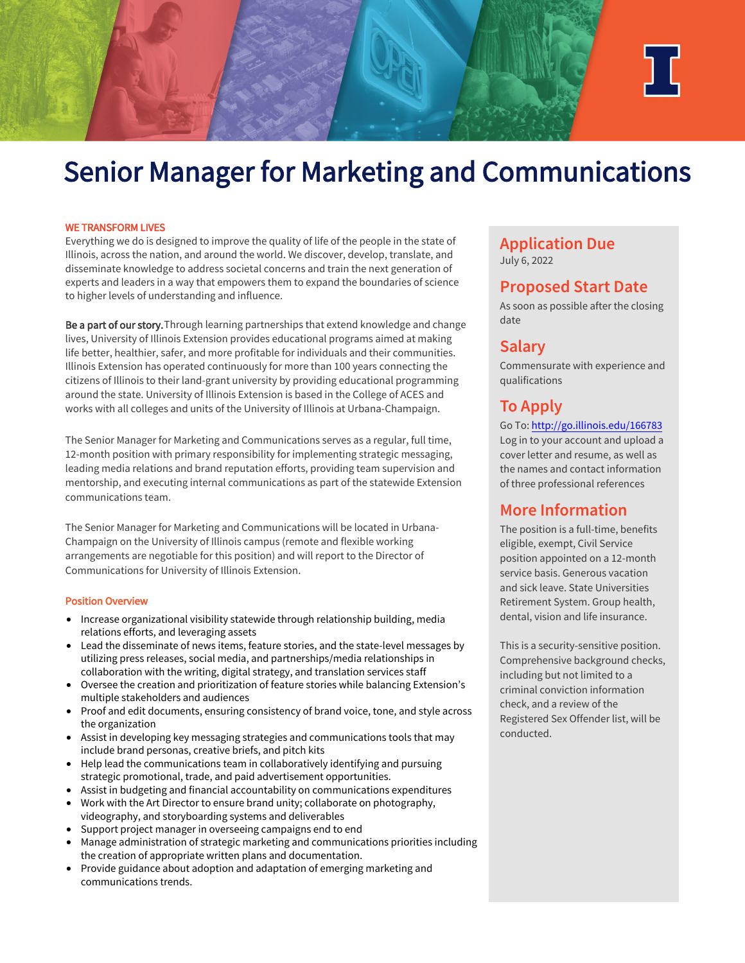

# Senior Manager for Marketing and Communications

#### WE TRANSFORM LIVES

Everything we do is designed to improve the quality of life of the people in the state of Illinois, across the nation, and around the world. We discover, develop, translate, and disseminate knowledge to address societal concerns and train the next generation of experts and leaders in a way that empowers them to expand the boundaries of science to higher levels of understanding and influence.

Be a part of our story. Through learning partnerships that extend knowledge and change lives, University of Illinois Extension provides educational programs aimed at making life better, healthier, safer, and more profitable for individuals and their communities. Illinois Extension has operated continuously for more than 100 years connecting the citizens of Illinois to their land-grant university by providing educational programming around the state. University of Illinois Extension is based in the College of ACES and works with all colleges and units of the University of Illinois at Urbana-Champaign.

The Senior Manager for Marketing and Communications serves as a regular, full time, 12-month position with primary responsibility for implementing strategic messaging, leading media relations and brand reputation efforts, providing team supervision and mentorship, and executing internal communications as part of the statewide Extension communications team.

The Senior Manager for Marketing and Communications will be located in Urbana-Champaign on the University of Illinois campus (remote and flexible working arrangements are negotiable for this position) and will report to the Director of Communications for University of Illinois Extension.

#### Position Overview

- Increase organizational visibility statewide through relationship building, media relations efforts, and leveraging assets
- Lead the disseminate of news items, feature stories, and the state-level messages by utilizing press releases, social media, and partnerships/media relationships in collaboration with the writing, digital strategy, and translation services staff
- Oversee the creation and prioritization of feature stories while balancing Extension's multiple stakeholders and audiences
- Proof and edit documents, ensuring consistency of brand voice, tone, and style across the organization
- Assist in developing key messaging strategies and communications tools that may include brand personas, creative briefs, and pitch kits
- Help lead the communications team in collaboratively identifying and pursuing strategic promotional, trade, and paid advertisement opportunities.
- Assist in budgeting and financial accountability on communications expenditures
- Work with the Art Director to ensure brand unity; collaborate on photography, videography, and storyboarding systems and deliverables
- Support project manager in overseeing campaigns end to end
- Manage administration of strategic marketing and communications priorities including the creation of appropriate written plans and documentation.
- Provide guidance about adoption and adaptation of emerging marketing and communications trends.

## **Application Due** July 6, 2022

# **Proposed Start Date**

As soon as possible after the closing date

# **Salary**

Commensurate with experience and qualifications

# **To Apply**

[Go To: http://go.illinois.edu/166783](https://go.illinois.edu/166783) Log in to your account and upload a cover letter and resume, as well as the names and contact information of three professional references

# **More Information**

The position is a full-time, benefits eligible, exempt, Civil Service position appointed on a 12-month service basis. Generous vacation and sick leave. State Universities Retirement System. Group health, dental, vision and life insurance.

This is a security-sensitive position. Comprehensive background checks, including but not limited to a criminal conviction information check, and a review of the Registered Sex Offender list, will be conducted.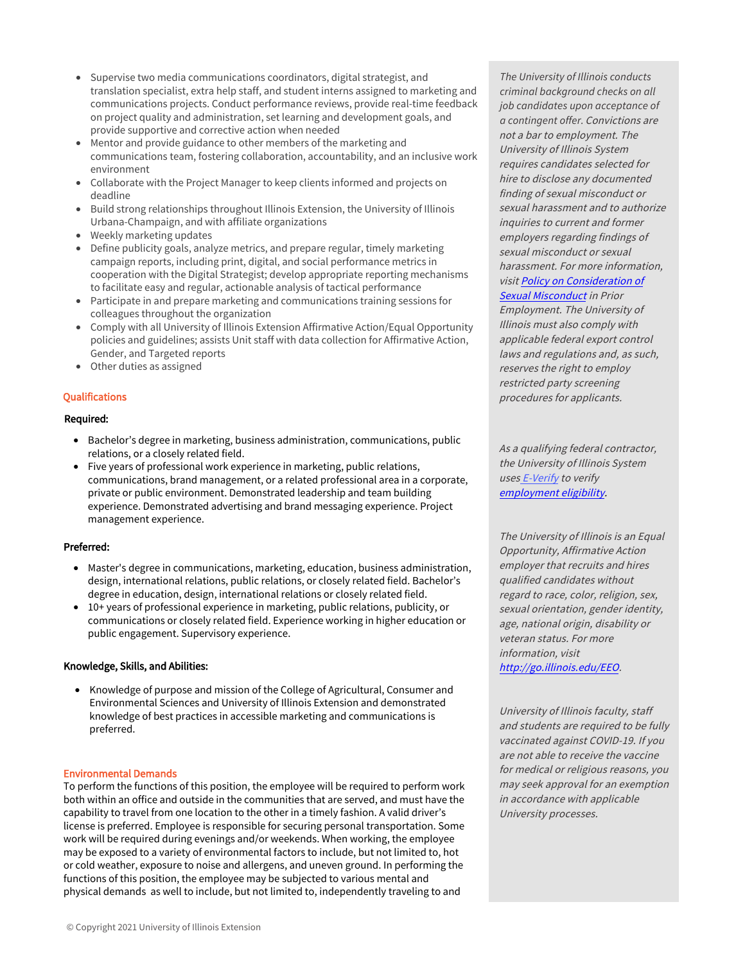- Supervise two media communications coordinators, digital strategist, and translation specialist, extra help staff, and student interns assigned to marketing and communications projects. Conduct performance reviews, provide real-time feedback on project quality and administration, set learning and development goals, and provide supportive and corrective action when needed
- Mentor and provide guidance to other members of the marketing and communications team, fostering collaboration, accountability, and an inclusive work environment
- Collaborate with the Project Manager to keep clients informed and projects on deadline
- Build strong relationships throughout Illinois Extension, the University of Illinois Urbana-Champaign, and with affiliate organizations
- Weekly marketing updates
- Define publicity goals, analyze metrics, and prepare regular, timely marketing campaign reports, including print, digital, and social performance metrics in cooperation with the Digital Strategist; develop appropriate reporting mechanisms to facilitate easy and regular, actionable analysis of tactical performance
- Participate in and prepare marketing and communications training sessions for colleagues throughout the organization
- Comply with all University of Illinois Extension Affirmative Action/Equal Opportunity policies and guidelines; assists Unit staff with data collection for Affirmative Action, Gender, and Targeted reports
- Other duties as assigned

## **Qualifications**

## Required:

- Bachelor's degree in marketing, business administration, communications, public relations, or a closely related field.
- Five years of professional work experience in marketing, public relations, communications, brand management, or a related professional area in a corporate, private or public environment. Demonstrated leadership and team building experience. Demonstrated advertising and brand messaging experience. Project management experience.

## Preferred:

- Master's degree in communications, marketing, education, business administration, design, international relations, public relations, or closely related field. Bachelor's degree in education, design, international relations or closely related field.
- 10+ years of professional experience in marketing, public relations, publicity, or communications or closely related field. Experience working in higher education or public engagement. Supervisory experience.

## Knowledge, Skills, and Abilities:

• Knowledge of purpose and mission of the College of Agricultural, Consumer and Environmental Sciences and University of Illinois Extension and demonstrated knowledge of best practices in accessible marketing and communications is preferred.

## Environmental Demands

To perform the functions of this position, the employee will be required to perform work both within an office and outside in the communities that are served, and must have the capability to travel from one location to the other in a timely fashion. A valid driver's license is preferred. Employee is responsible for securing personal transportation. Some work will be required during evenings and/or weekends. When working, the employee may be exposed to a variety of environmental factors to include, but not limited to, hot or cold weather, exposure to noise and allergens, and uneven ground. In performing the functions of this position, the employee may be subjected to various mental and physical demands as well to include, but not limited to, independently traveling to and

*The University of Illinois conducts criminal background checks on all job candidates upon acceptance of a contingent offer.*Convictions are not a bar to employment. The University of Illinois System requires candidates selected for hire to disclose any documented finding of sexual misconduct or sexual harassment and to authorize inquiries to current and former employers regarding findings of sexual misconduct or sexual harassment. For more information, [visit Policy on Consideration of](https://www.hr.uillinois.edu/cms/One.aspx?portalId=4292&pageId=1411899)  Sexual Misconduct in Prior Employment. The University of

Illinois must also comply with applicable federal export control laws and regulations and, as such, reserves the right to employ restricted party screening procedures for applicants.

As a qualifying federal contractor, the University of Illinois System uses E-Verify to verify employment eligibility.

The University of Illinois is an Equal Opportunity, Affirmative Action employer that recruits and hires qualified candidates without regard to race, color, religion, sex, sexual orientation, gender identity, age, national origin, disability or veteran status. For more information, visit [http://go.illinois.edu/EEO.](http://diversity.illinois.edu/discrimination-and-harrassment-prevention.html)

University of Illinois faculty, staff and students are required to be fully vaccinated against COVID-19. If you are not able to receive the vaccine for medical or religious reasons, you may seek approval for an exemption in accordance with applicable University processes.